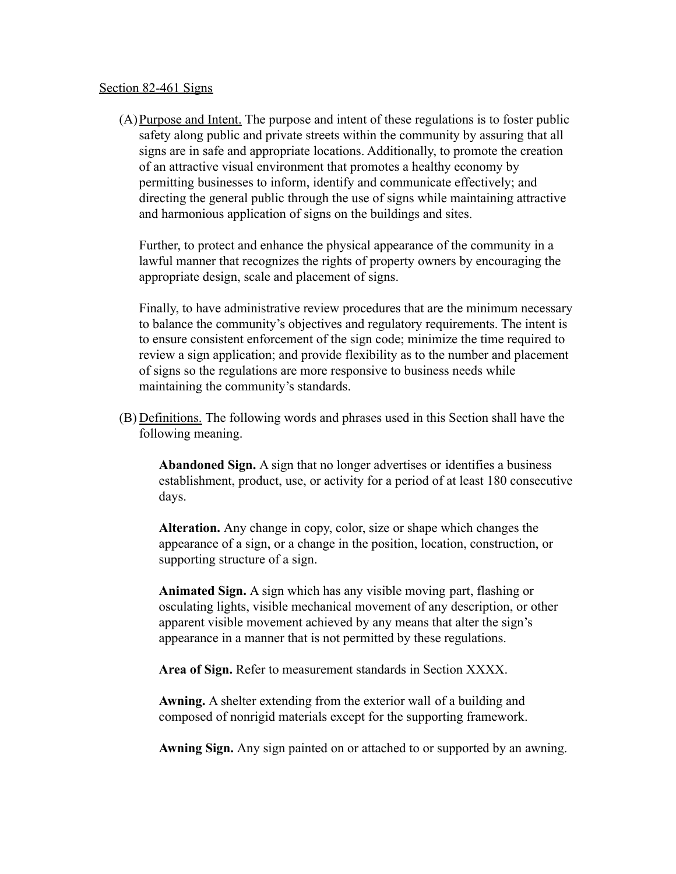#### Section 82-461 Signs

(A)Purpose and Intent. The purpose and intent of these regulations is to foster public safety along public and private streets within the community by assuring that all signs are in safe and appropriate locations. Additionally, to promote the creation of an attractive visual environment that promotes a healthy economy by permitting businesses to inform, identify and communicate effectively; and directing the general public through the use of signs while maintaining attractive and harmonious application of signs on the buildings and sites.

Further, to protect and enhance the physical appearance of the community in a lawful manner that recognizes the rights of property owners by encouraging the appropriate design, scale and placement of signs.

Finally, to have administrative review procedures that are the minimum necessary to balance the community's objectives and regulatory requirements. The intent is to ensure consistent enforcement of the sign code; minimize the time required to review a sign application; and provide flexibility as to the number and placement of signs so the regulations are more responsive to business needs while maintaining the community's standards.

(B) Definitions. The following words and phrases used in this Section shall have the following meaning.

**Abandoned Sign.** A sign that no longer advertises or identifies a business establishment, product, use, or activity for a period of at least 180 consecutive days.

**Alteration.** Any change in copy, color, size or shape which changes the appearance of a sign, or a change in the position, location, construction, or supporting structure of a sign.

**Animated Sign.** A sign which has any visible moving part, flashing or osculating lights, visible mechanical movement of any description, or other apparent visible movement achieved by any means that alter the sign's appearance in a manner that is not permitted by these regulations.

**Area of Sign.** Refer to measurement standards in Section XXXX.

**Awning.** A shelter extending from the exterior wall of a building and composed of nonrigid materials except for the supporting framework.

**Awning Sign.** Any sign painted on or attached to or supported by an awning.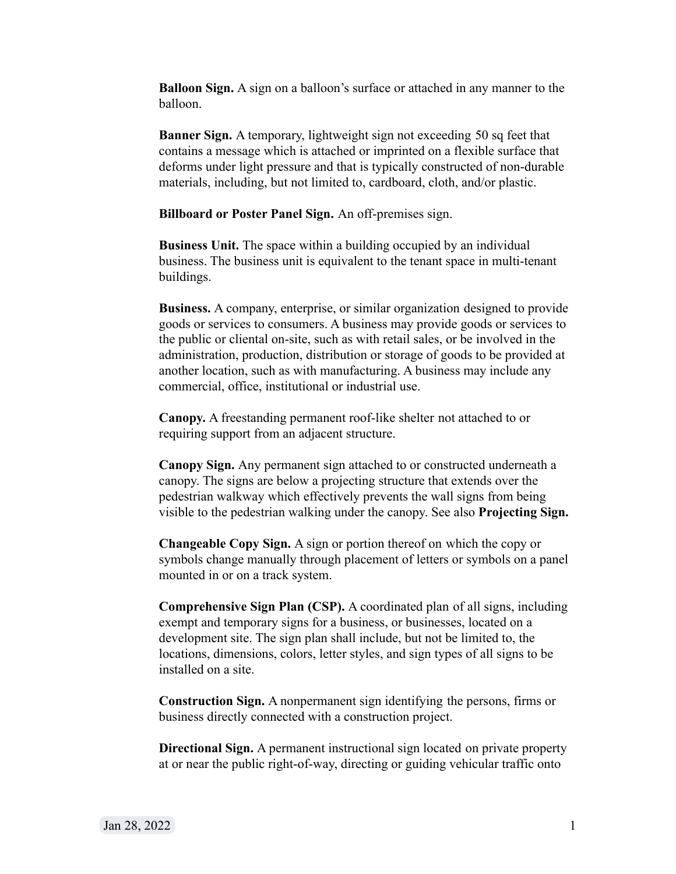**Balloon Sign.** A sign on a balloon's surface or attached in any manner to the balloon.

**Banner Sign.** A temporary, lightweight sign not exceeding 50 sq feet that contains a message which is attached or imprinted on a flexible surface that deforms under light pressure and that is typically constructed of non-durable materials, including, but not limited to, cardboard, cloth, and/or plastic.

**Billboard or Poster Panel Sign.** An off-premises sign.

**Business Unit.** The space within a building occupied by an individual business. The business unit is equivalent to the tenant space in multi-tenant buildings.

**Business.** A company, enterprise, or similar organization designed to provide goods or services to consumers. A business may provide goods or services to the public or cliental on-site, such as with retail sales, or be involved in the administration, production, distribution or storage of goods to be provided at another location, such as with manufacturing. A business may include any commercial, office, institutional or industrial use.

**Canopy.** A freestanding permanent roof-like shelter not attached to or requiring support from an adjacent structure.

**Canopy Sign.** Any permanent sign attached to or constructed underneath a canopy. The signs are below a projecting structure that extends over the pedestrian walkway which effectively prevents the wall signs from being visible to the pedestrian walking under the canopy. See also **Projecting Sign.**

**Changeable Copy Sign.** A sign or portion thereof on which the copy or symbols change manually through placement of letters or symbols on a panel mounted in or on a track system.

**Comprehensive Sign Plan (CSP).** A coordinated plan of all signs, including exempt and temporary signs for a business, or businesses, located on a development site. The sign plan shall include, but not be limited to, the locations, dimensions, colors, letter styles, and sign types of all signs to be installed on a site.

**Construction Sign.** A nonpermanent sign identifying the persons, firms or business directly connected with a construction project.

**Directional Sign.** A permanent instructional sign located on private property at or near the public right-of-way, directing or guiding vehicular traffic onto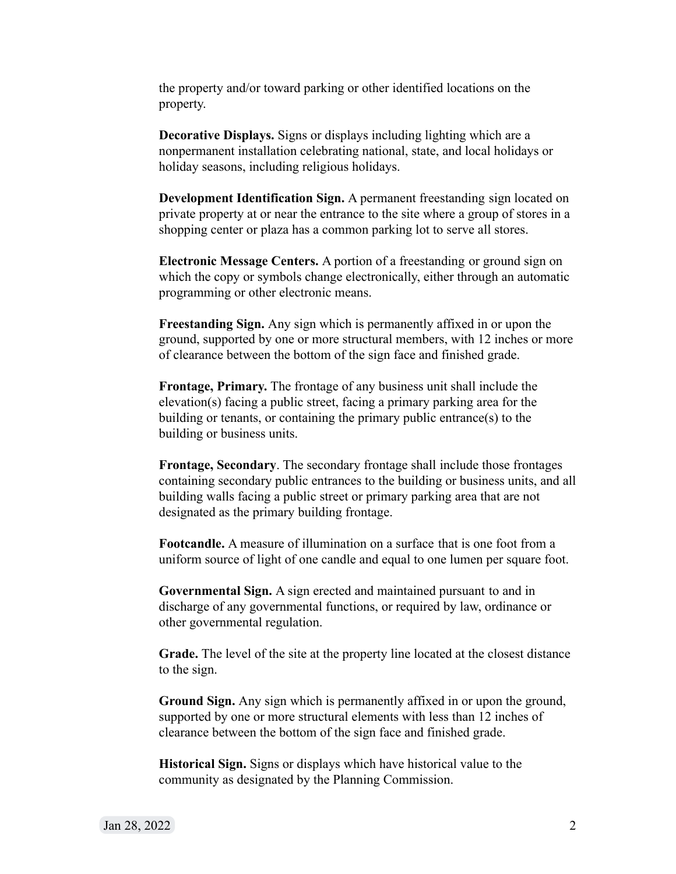the property and/or toward parking or other identified locations on the property.

**Decorative Displays.** Signs or displays including lighting which are a nonpermanent installation celebrating national, state, and local holidays or holiday seasons, including religious holidays.

**Development Identification Sign.** A permanent freestanding sign located on private property at or near the entrance to the site where a group of stores in a shopping center or plaza has a common parking lot to serve all stores.

**Electronic Message Centers.** A portion of a freestanding or ground sign on which the copy or symbols change electronically, either through an automatic programming or other electronic means.

**Freestanding Sign.** Any sign which is permanently affixed in or upon the ground, supported by one or more structural members, with 12 inches or more of clearance between the bottom of the sign face and finished grade.

**Frontage, Primary.** The frontage of any business unit shall include the elevation(s) facing a public street, facing a primary parking area for the building or tenants, or containing the primary public entrance(s) to the building or business units.

**Frontage, Secondary**. The secondary frontage shall include those frontages containing secondary public entrances to the building or business units, and all building walls facing a public street or primary parking area that are not designated as the primary building frontage.

**Footcandle.** A measure of illumination on a surface that is one foot from a uniform source of light of one candle and equal to one lumen per square foot.

**Governmental Sign.** A sign erected and maintained pursuant to and in discharge of any governmental functions, or required by law, ordinance or other governmental regulation.

**Grade.** The level of the site at the property line located at the closest distance to the sign.

**Ground Sign.** Any sign which is permanently affixed in or upon the ground, supported by one or more structural elements with less than 12 inches of clearance between the bottom of the sign face and finished grade.

**Historical Sign.** Signs or displays which have historical value to the community as designated by the Planning Commission.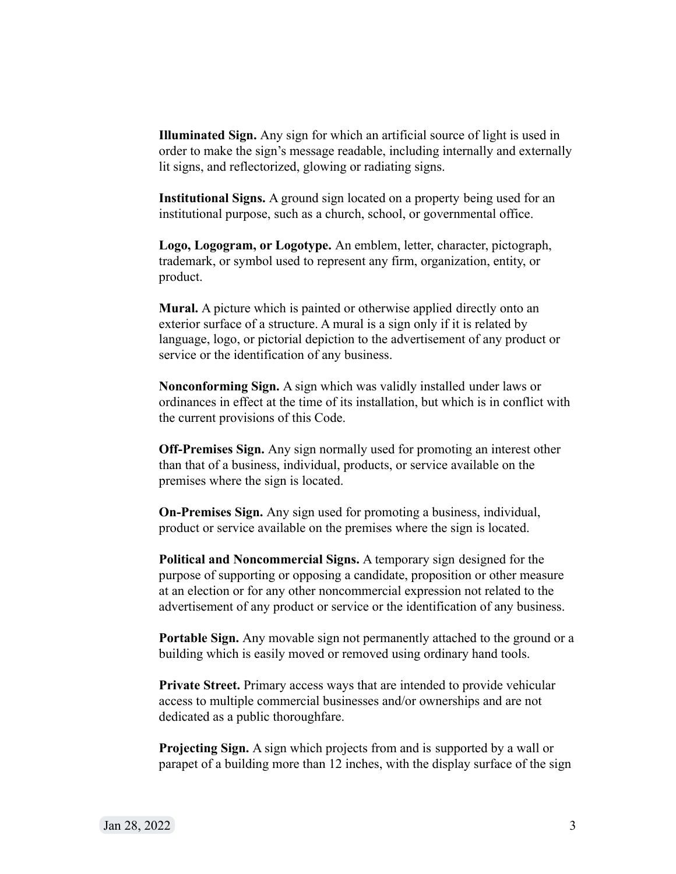**Illuminated Sign.** Any sign for which an artificial source of light is used in order to make the sign's message readable, including internally and externally lit signs, and reflectorized, glowing or radiating signs.

**Institutional Signs.** A ground sign located on a property being used for an institutional purpose, such as a church, school, or governmental office.

**Logo, Logogram, or Logotype.** An emblem, letter, character, pictograph, trademark, or symbol used to represent any firm, organization, entity, or product.

**Mural.** A picture which is painted or otherwise applied directly onto an exterior surface of a structure. A mural is a sign only if it is related by language, logo, or pictorial depiction to the advertisement of any product or service or the identification of any business.

**Nonconforming Sign.** A sign which was validly installed under laws or ordinances in effect at the time of its installation, but which is in conflict with the current provisions of this Code.

**Off-Premises Sign.** Any sign normally used for promoting an interest other than that of a business, individual, products, or service available on the premises where the sign is located.

**On-Premises Sign.** Any sign used for promoting a business, individual, product or service available on the premises where the sign is located.

**Political and Noncommercial Signs.** A temporary sign designed for the purpose of supporting or opposing a candidate, proposition or other measure at an election or for any other noncommercial expression not related to the advertisement of any product or service or the identification of any business.

**Portable Sign.** Any movable sign not permanently attached to the ground or a building which is easily moved or removed using ordinary hand tools.

**Private Street.** Primary access ways that are intended to provide vehicular access to multiple commercial businesses and/or ownerships and are not dedicated as a public thoroughfare.

**Projecting Sign.** A sign which projects from and is supported by a wall or parapet of a building more than 12 inches, with the display surface of the sign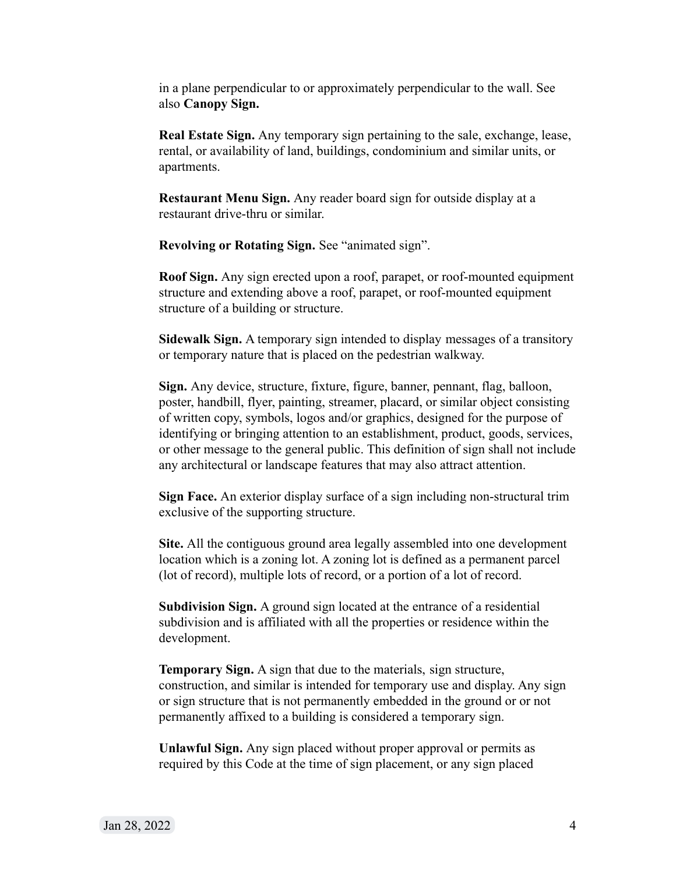in a plane perpendicular to or approximately perpendicular to the wall. See also **Canopy Sign.**

**Real Estate Sign.** Any temporary sign pertaining to the sale, exchange, lease, rental, or availability of land, buildings, condominium and similar units, or apartments.

**Restaurant Menu Sign.** Any reader board sign for outside display at a restaurant drive-thru or similar.

**Revolving or Rotating Sign.** See "animated sign".

**Roof Sign.** Any sign erected upon a roof, parapet, or roof-mounted equipment structure and extending above a roof, parapet, or roof-mounted equipment structure of a building or structure.

**Sidewalk Sign.** A temporary sign intended to display messages of a transitory or temporary nature that is placed on the pedestrian walkway.

**Sign.** Any device, structure, fixture, figure, banner, pennant, flag, balloon, poster, handbill, flyer, painting, streamer, placard, or similar object consisting of written copy, symbols, logos and/or graphics, designed for the purpose of identifying or bringing attention to an establishment, product, goods, services, or other message to the general public. This definition of sign shall not include any architectural or landscape features that may also attract attention.

**Sign Face.** An exterior display surface of a sign including non-structural trim exclusive of the supporting structure.

**Site.** All the contiguous ground area legally assembled into one development location which is a zoning lot. A zoning lot is defined as a permanent parcel (lot of record), multiple lots of record, or a portion of a lot of record.

**Subdivision Sign.** A ground sign located at the entrance of a residential subdivision and is affiliated with all the properties or residence within the development.

**Temporary Sign.** A sign that due to the materials, sign structure, construction, and similar is intended for temporary use and display. Any sign or sign structure that is not permanently embedded in the ground or or not permanently affixed to a building is considered a temporary sign.

**Unlawful Sign.** Any sign placed without proper approval or permits as required by this Code at the time of sign placement, or any sign placed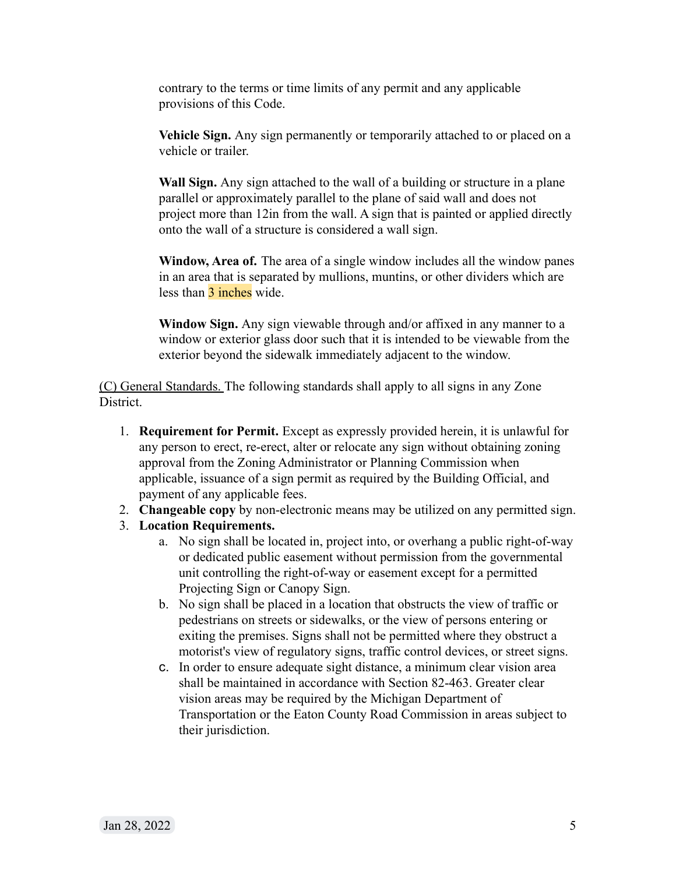contrary to the terms or time limits of any permit and any applicable provisions of this Code.

**Vehicle Sign.** Any sign permanently or temporarily attached to or placed on a vehicle or trailer.

**Wall Sign.** Any sign attached to the wall of a building or structure in a plane parallel or approximately parallel to the plane of said wall and does not project more than 12in from the wall. A sign that is painted or applied directly onto the wall of a structure is considered a wall sign.

**Window, Area of.** The area of a single window includes all the window panes in an area that is separated by mullions, muntins, or other dividers which are less than 3 inches wide.

**Window Sign.** Any sign viewable through and/or affixed in any manner to a window or exterior glass door such that it is intended to be viewable from the exterior beyond the sidewalk immediately adjacent to the window.

(C) General Standards. The following standards shall apply to all signs in any Zone District.

- 1. **Requirement for Permit.** Except as expressly provided herein, it is unlawful for any person to erect, re-erect, alter or relocate any sign without obtaining zoning approval from the Zoning Administrator or Planning Commission when applicable, issuance of a sign permit as required by the Building Official, and payment of any applicable fees.
- 2. **Changeable copy** by non-electronic means may be utilized on any permitted sign.
- 3. **Location Requirements.**
	- a. No sign shall be located in, project into, or overhang a public right-of-way or dedicated public easement without permission from the governmental unit controlling the right-of-way or easement except for a permitted Projecting Sign or Canopy Sign.
	- b. No sign shall be placed in a location that obstructs the view of traffic or pedestrians on streets or sidewalks, or the view of persons entering or exiting the premises. Signs shall not be permitted where they obstruct a motorist's view of regulatory signs, traffic control devices, or street signs.
	- c. In order to ensure adequate sight distance, a minimum clear vision area shall be maintained in accordance with Section 82-463. Greater clear vision areas may be required by the Michigan Department of Transportation or the Eaton County Road Commission in areas subject to their jurisdiction.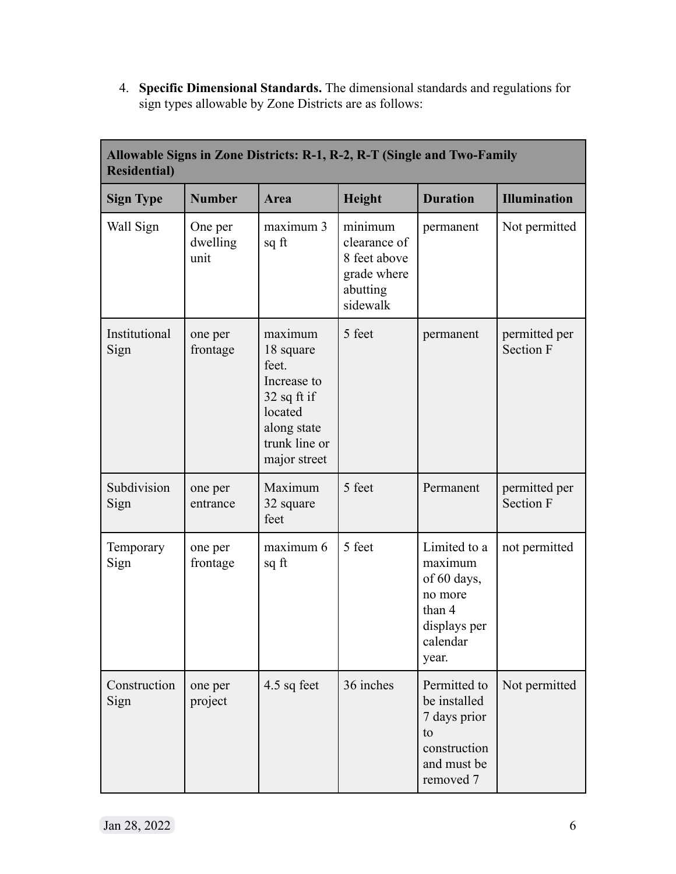4. **Specific Dimensional Standards.** The dimensional standards and regulations for sign types allowable by Zone Districts are as follows:

| <b>Residential</b> )  |                             | Allowable Signs in Zone Districts: R-1, R-2, R-T (Single and Two-Family                                                  |                                                                                |                                                                                                  |                                   |
|-----------------------|-----------------------------|--------------------------------------------------------------------------------------------------------------------------|--------------------------------------------------------------------------------|--------------------------------------------------------------------------------------------------|-----------------------------------|
| <b>Sign Type</b>      | <b>Number</b>               | Area                                                                                                                     | Height                                                                         | <b>Duration</b>                                                                                  | <b>Illumination</b>               |
| Wall Sign             | One per<br>dwelling<br>unit | maximum 3<br>sq ft                                                                                                       | minimum<br>clearance of<br>8 feet above<br>grade where<br>abutting<br>sidewalk | permanent                                                                                        | Not permitted                     |
| Institutional<br>Sign | one per<br>frontage         | maximum<br>18 square<br>feet.<br>Increase to<br>$32$ sq ft if<br>located<br>along state<br>trunk line or<br>major street | 5 feet                                                                         | permanent                                                                                        | permitted per<br><b>Section F</b> |
| Subdivision<br>Sign   | one per<br>entrance         | Maximum<br>32 square<br>feet                                                                                             | 5 feet                                                                         | Permanent                                                                                        | permitted per<br><b>Section F</b> |
| Temporary<br>Sign     | one per<br>frontage         | maximum 6<br>sq ft                                                                                                       | 5 feet                                                                         | Limited to a<br>maximum<br>of 60 days,<br>no more<br>than 4<br>displays per<br>calendar<br>year. | not permitted                     |
| Construction<br>Sign  | one per<br>project          | 4.5 sq feet                                                                                                              | 36 inches                                                                      | Permitted to<br>be installed<br>7 days prior<br>to<br>construction<br>and must be<br>removed 7   | Not permitted                     |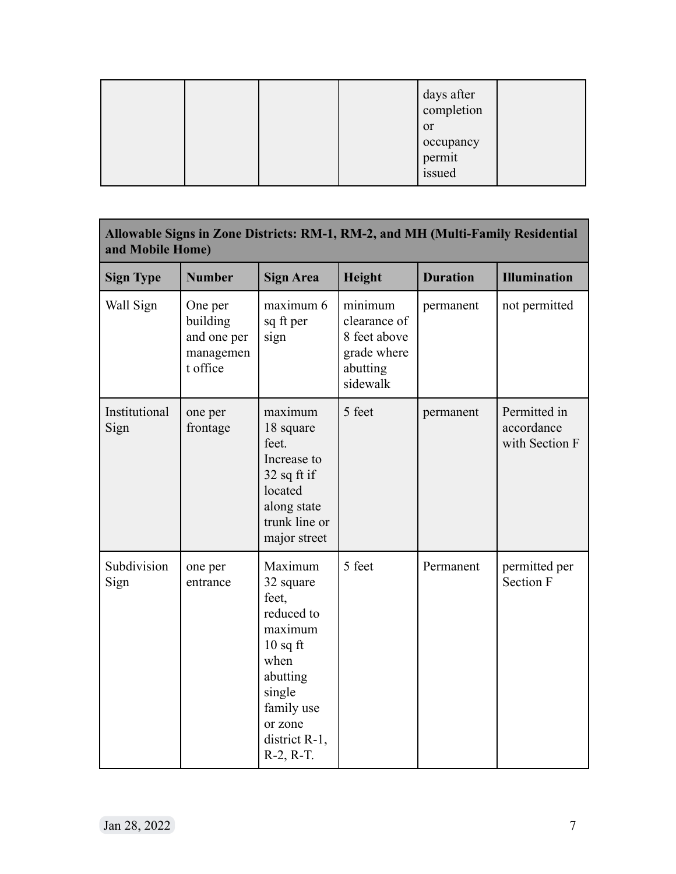|  |  | days after<br>completion<br><sub>or</sub> |  |
|--|--|-------------------------------------------|--|
|  |  | occupancy<br>permit<br>issued             |  |

| and Mobile Home)      |                                                             |                                                                                                                                                             |                                                                                |                 | Allowable Signs in Zone Districts: RM-1, RM-2, and MH (Multi-Family Residential |
|-----------------------|-------------------------------------------------------------|-------------------------------------------------------------------------------------------------------------------------------------------------------------|--------------------------------------------------------------------------------|-----------------|---------------------------------------------------------------------------------|
| <b>Sign Type</b>      | <b>Number</b>                                               | <b>Sign Area</b>                                                                                                                                            | Height                                                                         | <b>Duration</b> | <b>Illumination</b>                                                             |
| Wall Sign             | One per<br>building<br>and one per<br>managemen<br>t office | maximum 6<br>sq ft per<br>sign                                                                                                                              | minimum<br>clearance of<br>8 feet above<br>grade where<br>abutting<br>sidewalk | permanent       | not permitted                                                                   |
| Institutional<br>Sign | one per<br>frontage                                         | maximum<br>18 square<br>feet.<br>Increase to<br>$32$ sq ft if<br>located<br>along state<br>trunk line or<br>major street                                    | 5 feet                                                                         | permanent       | Permitted in<br>accordance<br>with Section F                                    |
| Subdivision<br>Sign   | one per<br>entrance                                         | Maximum<br>32 square<br>feet,<br>reduced to<br>maximum<br>$10$ sq ft<br>when<br>abutting<br>single<br>family use<br>or zone<br>district R-1,<br>$R-2, R-T.$ | 5 feet                                                                         | Permanent       | permitted per<br><b>Section F</b>                                               |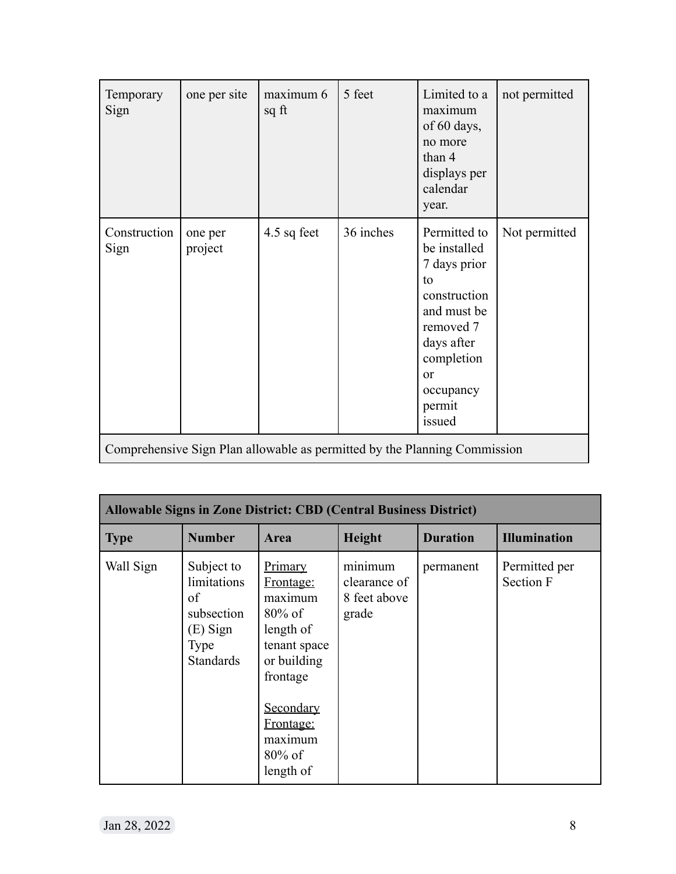| Temporary<br>Sign    | one per site       | maximum 6<br>sq ft                                                        | 5 feet    | Limited to a<br>maximum<br>of $60$ days,<br>no more<br>than 4<br>displays per<br>calendar<br>year.                                                                           | not permitted |
|----------------------|--------------------|---------------------------------------------------------------------------|-----------|------------------------------------------------------------------------------------------------------------------------------------------------------------------------------|---------------|
| Construction<br>Sign | one per<br>project | 4.5 sq feet                                                               | 36 inches | Permitted to<br>be installed<br>7 days prior<br>to<br>construction<br>and must be<br>removed 7<br>days after<br>completion<br><sub>or</sub><br>occupancy<br>permit<br>issued | Not permitted |
|                      |                    | Comprehensive Sign Plan allowable as permitted by the Planning Commission |           |                                                                                                                                                                              |               |

|             |                                                                                       | <b>Allowable Signs in Zone District: CBD (Central Business District)</b>                                                                                            |                                                  |                 |                            |
|-------------|---------------------------------------------------------------------------------------|---------------------------------------------------------------------------------------------------------------------------------------------------------------------|--------------------------------------------------|-----------------|----------------------------|
| <b>Type</b> | <b>Number</b>                                                                         | Area                                                                                                                                                                | <b>Height</b>                                    | <b>Duration</b> | <b>Illumination</b>        |
| Wall Sign   | Subject to<br>limitations<br>of<br>subsection<br>(E) Sign<br>Type<br><b>Standards</b> | Primary<br>Frontage:<br>maximum<br>$80\%$ of<br>length of<br>tenant space<br>or building<br>frontage<br>Secondary<br>Frontage:<br>maximum<br>$80\%$ of<br>length of | minimum<br>clearance of<br>8 feet above<br>grade | permanent       | Permitted per<br>Section F |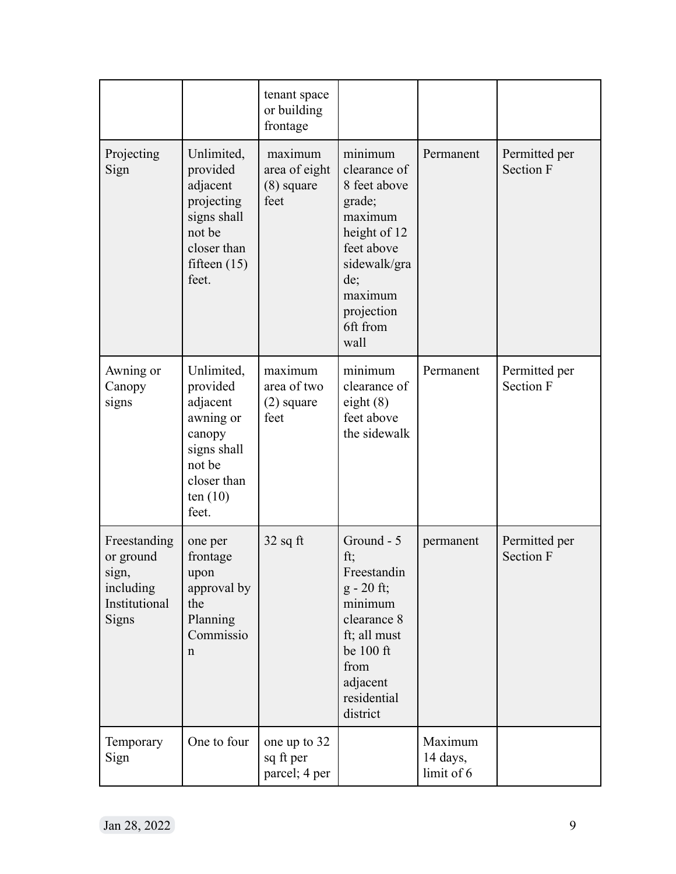|                                                                           |                                                                                                                          | tenant space<br>or building<br>frontage          |                                                                                                                                                                |                                   |                                   |
|---------------------------------------------------------------------------|--------------------------------------------------------------------------------------------------------------------------|--------------------------------------------------|----------------------------------------------------------------------------------------------------------------------------------------------------------------|-----------------------------------|-----------------------------------|
| Projecting<br>Sign                                                        | Unlimited,<br>provided<br>adjacent<br>projecting<br>signs shall<br>not be<br>closer than<br>fifteen $(15)$<br>feet.      | maximum<br>area of eight<br>$(8)$ square<br>feet | minimum<br>clearance of<br>8 feet above<br>grade;<br>maximum<br>height of 12<br>feet above<br>sidewalk/gra<br>de;<br>maximum<br>projection<br>6ft from<br>wall | Permanent                         | Permitted per<br><b>Section F</b> |
| Awning or<br>Canopy<br>signs                                              | Unlimited,<br>provided<br>adjacent<br>awning or<br>canopy<br>signs shall<br>not be<br>closer than<br>ten $(10)$<br>feet. | maximum<br>area of two<br>$(2)$ square<br>feet   | minimum<br>clearance of<br>eight $(8)$<br>feet above<br>the sidewalk                                                                                           | Permanent                         | Permitted per<br><b>Section F</b> |
| Freestanding<br>or ground<br>sign,<br>including<br>Institutional<br>Signs | one per<br>frontage<br>upon<br>approval by<br>the<br>Planning<br>Commissio<br>n                                          | $32$ sq ft                                       | Ground - 5<br>ft;<br>Freestandin<br>$g - 20$ ft;<br>minimum<br>clearance 8<br>ft; all must<br>be 100 ft<br>from<br>adjacent<br>residential<br>district         | permanent                         | Permitted per<br><b>Section F</b> |
| Temporary<br>Sign                                                         | One to four                                                                                                              | one up to 32<br>sq ft per<br>parcel; 4 per       |                                                                                                                                                                | Maximum<br>14 days,<br>limit of 6 |                                   |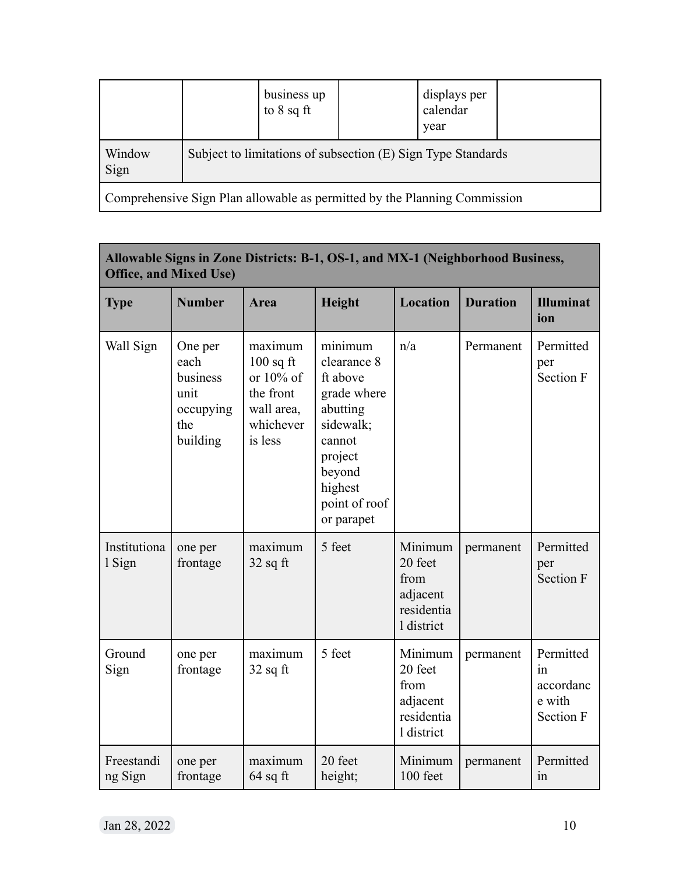|                                                                           |  | business up<br>to $8$ sq ft |  | displays per<br>calendar<br>year                             |  |
|---------------------------------------------------------------------------|--|-----------------------------|--|--------------------------------------------------------------|--|
| Window<br>Sign                                                            |  |                             |  | Subject to limitations of subsection (E) Sign Type Standards |  |
| Comprehensive Sign Plan allowable as permitted by the Planning Commission |  |                             |  |                                                              |  |

| <b>Office, and Mixed Use)</b> |                                                                     |                                                                                        | Allowable Signs in Zone Districts: B-1, OS-1, and MX-1 (Neighborhood Business,                                                                      |                                                                    |                 |                                                            |
|-------------------------------|---------------------------------------------------------------------|----------------------------------------------------------------------------------------|-----------------------------------------------------------------------------------------------------------------------------------------------------|--------------------------------------------------------------------|-----------------|------------------------------------------------------------|
| <b>Type</b>                   | <b>Number</b>                                                       | Area                                                                                   | Height                                                                                                                                              | <b>Location</b>                                                    | <b>Duration</b> | <b>Illuminat</b><br>ion                                    |
| Wall Sign                     | One per<br>each<br>business<br>unit<br>occupying<br>the<br>building | maximum<br>$100$ sq ft<br>or 10% of<br>the front<br>wall area,<br>whichever<br>is less | minimum<br>clearance 8<br>ft above<br>grade where<br>abutting<br>sidewalk;<br>cannot<br>project<br>beyond<br>highest<br>point of roof<br>or parapet | n/a                                                                | Permanent       | Permitted<br>per<br>Section F                              |
| Institutiona<br>1 Sign        | one per<br>frontage                                                 | maximum<br>$32$ sq ft                                                                  | 5 feet                                                                                                                                              | Minimum<br>20 feet<br>from<br>adjacent<br>residentia<br>1 district | permanent       | Permitted<br>per<br><b>Section F</b>                       |
| Ground<br>Sign                | one per<br>frontage                                                 | maximum<br>$32$ sq ft                                                                  | 5 feet                                                                                                                                              | Minimum<br>20 feet<br>from<br>adjacent<br>residentia<br>1 district | permanent       | Permitted<br>1n<br>accordanc<br>e with<br><b>Section F</b> |
| Freestandi<br>ng Sign         | one per<br>frontage                                                 | maximum<br>$64$ sq ft                                                                  | 20 feet<br>height;                                                                                                                                  | Minimum<br>100 feet                                                | permanent       | Permitted<br>1n                                            |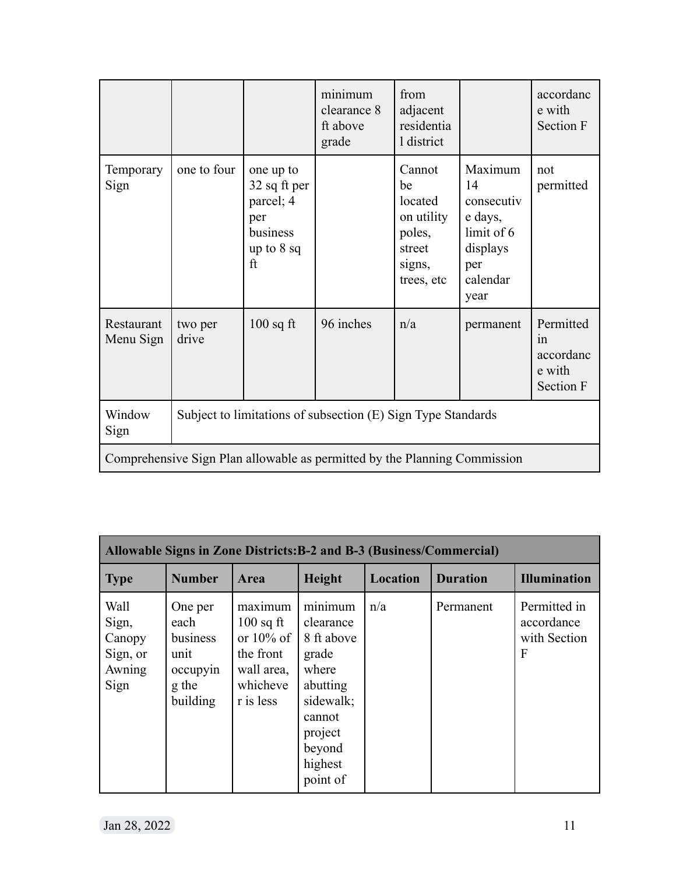|                         |                  |                                                                                          | minimum<br>clearance 8<br>ft above<br>grade                               | from<br>adjacent<br>residentia<br>1 district                                      |                                                                                             | accordanc<br>e with<br>Section F                    |
|-------------------------|------------------|------------------------------------------------------------------------------------------|---------------------------------------------------------------------------|-----------------------------------------------------------------------------------|---------------------------------------------------------------------------------------------|-----------------------------------------------------|
| Temporary<br>Sign       | one to four      | one up to<br>32 sq ft per<br>parcel; 4<br>per<br>business<br>up to $8$ sq<br>$_{\rm ft}$ |                                                                           | Cannot<br>be<br>located<br>on utility<br>poles,<br>street<br>signs,<br>trees, etc | Maximum<br>14<br>consecutiv<br>e days,<br>limit of 6<br>displays<br>per<br>calendar<br>year | not<br>permitted                                    |
| Restaurant<br>Menu Sign | two per<br>drive | $100$ sq ft                                                                              | 96 inches                                                                 | n/a                                                                               | permanent                                                                                   | Permitted<br>1n<br>accordanc<br>e with<br>Section F |
| Window<br>Sign          |                  |                                                                                          | Subject to limitations of subsection (E) Sign Type Standards              |                                                                                   |                                                                                             |                                                     |
|                         |                  |                                                                                          | Comprehensive Sign Plan allowable as permitted by the Planning Commission |                                                                                   |                                                                                             |                                                     |

|                                                       |                                                                      |                                                                                            |                                                                                                                                     |                 | Allowable Signs in Zone Districts: B-2 and B-3 (Business/Commercial) |                                                 |
|-------------------------------------------------------|----------------------------------------------------------------------|--------------------------------------------------------------------------------------------|-------------------------------------------------------------------------------------------------------------------------------------|-----------------|----------------------------------------------------------------------|-------------------------------------------------|
| <b>Type</b>                                           | <b>Number</b>                                                        | Area                                                                                       | Height                                                                                                                              | <b>Location</b> | <b>Duration</b>                                                      | <b>Illumination</b>                             |
| Wall<br>Sign,<br>Canopy<br>Sign, or<br>Awning<br>Sign | One per<br>each<br>business<br>unit<br>occupyin<br>g the<br>building | maximum<br>$100$ sq ft<br>or $10\%$ of<br>the front<br>wall area,<br>whicheve<br>r is less | minimum<br>clearance<br>8 ft above<br>grade<br>where<br>abutting<br>sidewalk;<br>cannot<br>project<br>beyond<br>highest<br>point of | n/a             | Permanent                                                            | Permitted in<br>accordance<br>with Section<br>F |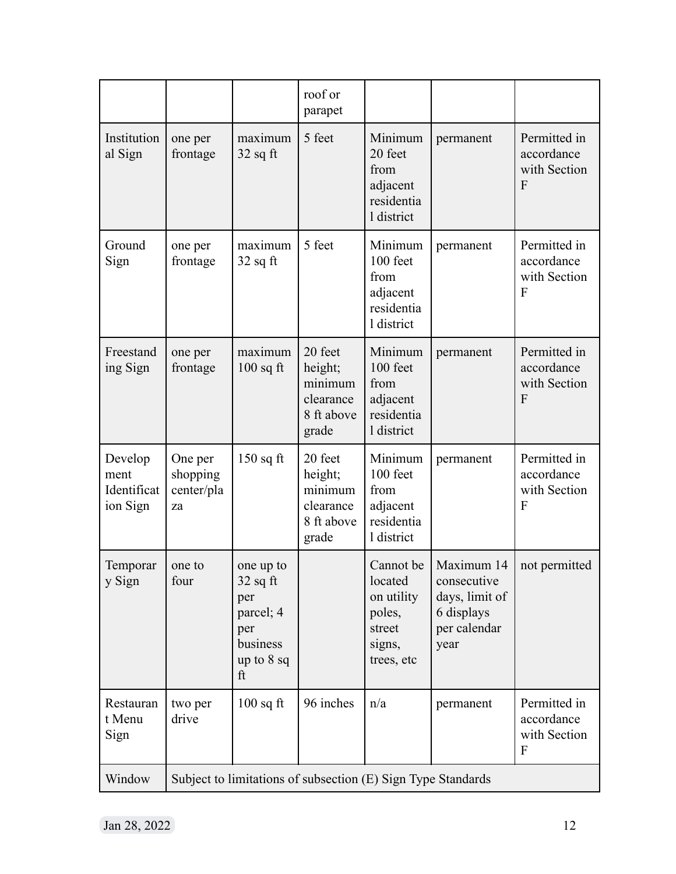|                                            |                                         |                                                                                      | roof or<br>parapet                                                |                                                                                |                                                                                   |                                                 |
|--------------------------------------------|-----------------------------------------|--------------------------------------------------------------------------------------|-------------------------------------------------------------------|--------------------------------------------------------------------------------|-----------------------------------------------------------------------------------|-------------------------------------------------|
| Institution<br>al Sign                     | one per<br>frontage                     | maximum<br>$32$ sq ft                                                                | 5 feet                                                            | Minimum<br>20 feet<br>from<br>adjacent<br>residentia<br>1 district             | permanent                                                                         | Permitted in<br>accordance<br>with Section<br>F |
| Ground<br>Sign                             | one per<br>frontage                     | maximum<br>$32$ sq ft                                                                | 5 feet                                                            | Minimum<br>100 feet<br>from<br>adjacent<br>residentia<br>1 district            | permanent                                                                         | Permitted in<br>accordance<br>with Section<br>F |
| Freestand<br>ing Sign                      | one per<br>frontage                     | maximum<br>$100$ sq ft                                                               | 20 feet<br>height;<br>minimum<br>clearance<br>8 ft above<br>grade | Minimum<br>100 feet<br>from<br>adjacent<br>residentia<br>1 district            | permanent                                                                         | Permitted in<br>accordance<br>with Section<br>F |
| Develop<br>ment<br>Identificat<br>ion Sign | One per<br>shopping<br>center/pla<br>za | $150$ sq ft                                                                          | 20 feet<br>height;<br>minimum<br>clearance<br>8 ft above<br>grade | Minimum<br>100 feet<br>from<br>adjacent<br>residentia<br>1 district            | permanent                                                                         | Permitted in<br>accordance<br>with Section<br>F |
| Temporar<br>y Sign                         | one to<br>four                          | one up to<br>$32$ sq ft<br>per<br>parcel; 4<br>per<br>business<br>up to $8$ sq<br>ft |                                                                   | Cannot be<br>located<br>on utility<br>poles,<br>street<br>signs,<br>trees, etc | Maximum 14<br>consecutive<br>days, limit of<br>6 displays<br>per calendar<br>year | not permitted                                   |
| Restauran<br>t Menu<br>Sign                | two per<br>drive                        | $100$ sq ft                                                                          | 96 inches                                                         | n/a                                                                            | permanent                                                                         | Permitted in<br>accordance<br>with Section<br>F |
| Window                                     |                                         |                                                                                      |                                                                   | Subject to limitations of subsection (E) Sign Type Standards                   |                                                                                   |                                                 |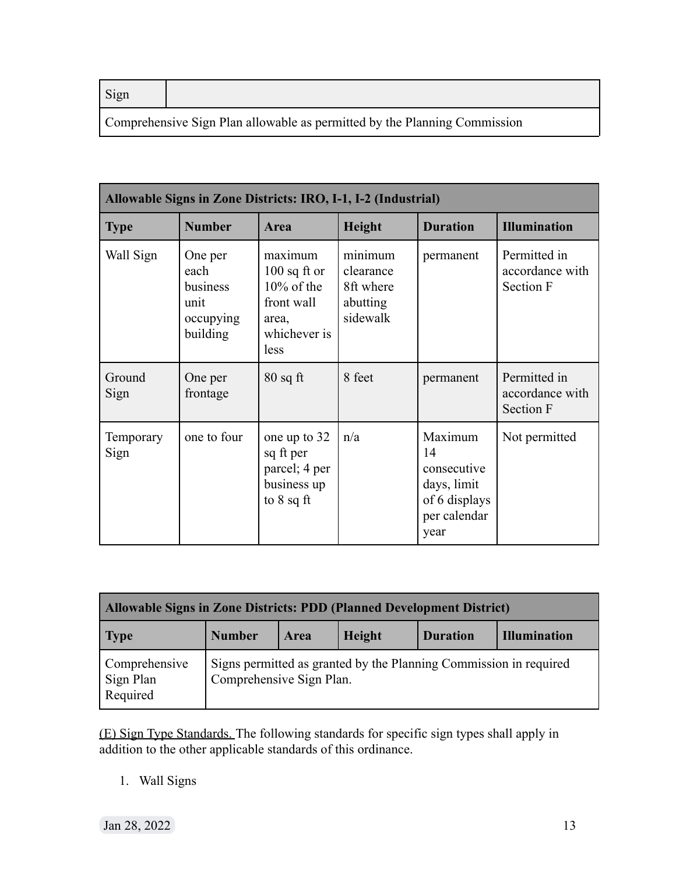| ſ |
|---|
|---|

Comprehensive Sign Plan allowable as permitted by the Planning Commission

| Allowable Signs in Zone Districts: IRO, I-1, I-2 (Industrial) |                                                              |                                                                                           |                                                           |                                                                                      |                                              |  |  |  |  |
|---------------------------------------------------------------|--------------------------------------------------------------|-------------------------------------------------------------------------------------------|-----------------------------------------------------------|--------------------------------------------------------------------------------------|----------------------------------------------|--|--|--|--|
| <b>Type</b>                                                   | <b>Number</b>                                                | <b>Area</b>                                                                               | <b>Height</b>                                             | <b>Duration</b>                                                                      | <b>Illumination</b>                          |  |  |  |  |
| Wall Sign                                                     | One per<br>each<br>business<br>unit<br>occupying<br>building | maximum<br>$100$ sq ft or<br>$10\%$ of the<br>front wall<br>area,<br>whichever is<br>less | minimum<br>clearance<br>8ft where<br>abutting<br>sidewalk | permanent                                                                            | Permitted in<br>accordance with<br>Section F |  |  |  |  |
| Ground<br>Sign                                                | One per<br>frontage                                          | $80$ sq ft                                                                                | 8 feet                                                    | permanent                                                                            | Permitted in<br>accordance with<br>Section F |  |  |  |  |
| Temporary<br>Sign                                             | one to four                                                  | one up to 32<br>sq ft per<br>parcel; 4 per<br>business up<br>to $8$ sq ft                 | n/a                                                       | Maximum<br>14<br>consecutive<br>days, limit<br>of 6 displays<br>per calendar<br>year | Not permitted                                |  |  |  |  |

| Allowable Signs in Zone Districts: PDD (Planned Development District) |                                                                                               |             |               |                 |                     |  |  |  |  |
|-----------------------------------------------------------------------|-----------------------------------------------------------------------------------------------|-------------|---------------|-----------------|---------------------|--|--|--|--|
| Type                                                                  | <b>Number</b>                                                                                 | <b>Area</b> | <b>Height</b> | <b>Duration</b> | <b>Illumination</b> |  |  |  |  |
| Comprehensive<br>Sign Plan<br>Required                                | Signs permitted as granted by the Planning Commission in required<br>Comprehensive Sign Plan. |             |               |                 |                     |  |  |  |  |

(E) Sign Type Standards. The following standards for specific sign types shall apply in addition to the other applicable standards of this ordinance.

1. Wall Signs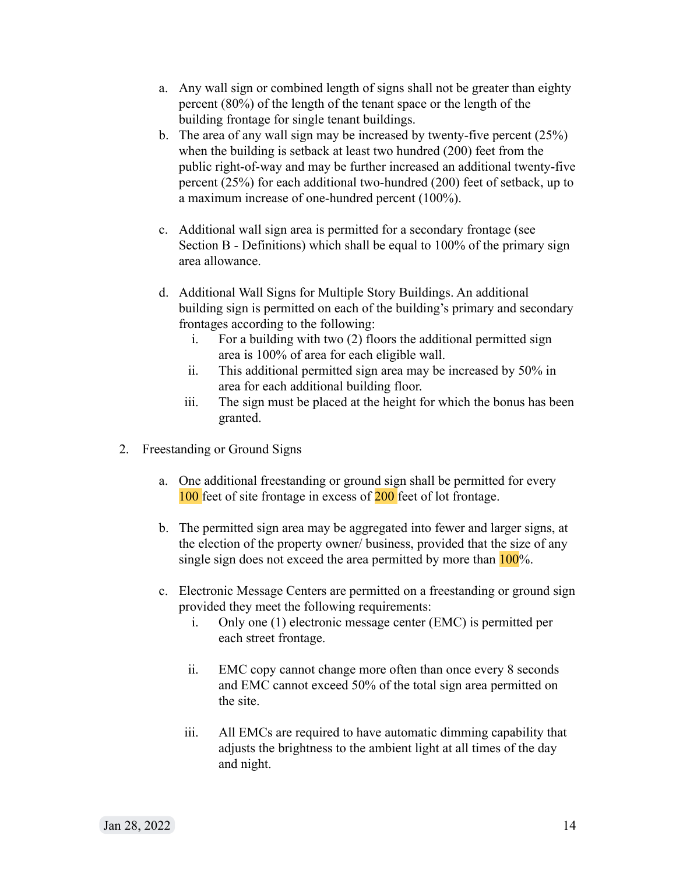- a. Any wall sign or combined length of signs shall not be greater than eighty percent (80%) of the length of the tenant space or the length of the building frontage for single tenant buildings.
- b. The area of any wall sign may be increased by twenty-five percent (25%) when the building is setback at least two hundred (200) feet from the public right-of-way and may be further increased an additional twenty-five percent (25%) for each additional two-hundred (200) feet of setback, up to a maximum increase of one-hundred percent (100%).
- c. Additional wall sign area is permitted for a secondary frontage (see Section B - Definitions) which shall be equal to 100% of the primary sign area allowance.
- d. Additional Wall Signs for Multiple Story Buildings. An additional building sign is permitted on each of the building's primary and secondary frontages according to the following:
	- i. For a building with two (2) floors the additional permitted sign area is 100% of area for each eligible wall.
	- ii. This additional permitted sign area may be increased by 50% in area for each additional building floor.
	- iii. The sign must be placed at the height for which the bonus has been granted.
- 2. Freestanding or Ground Signs
	- a. One additional freestanding or ground sign shall be permitted for every 100 feet of site frontage in excess of 200 feet of lot frontage.
	- b. The permitted sign area may be aggregated into fewer and larger signs, at the election of the property owner/ business, provided that the size of any single sign does not exceed the area permitted by more than  $100\%$ .
	- c. Electronic Message Centers are permitted on a freestanding or ground sign provided they meet the following requirements:
		- i. Only one (1) electronic message center (EMC) is permitted per each street frontage.
		- ii. EMC copy cannot change more often than once every 8 seconds and EMC cannot exceed 50% of the total sign area permitted on the site.
		- iii. All EMCs are required to have automatic dimming capability that adjusts the brightness to the ambient light at all times of the day and night.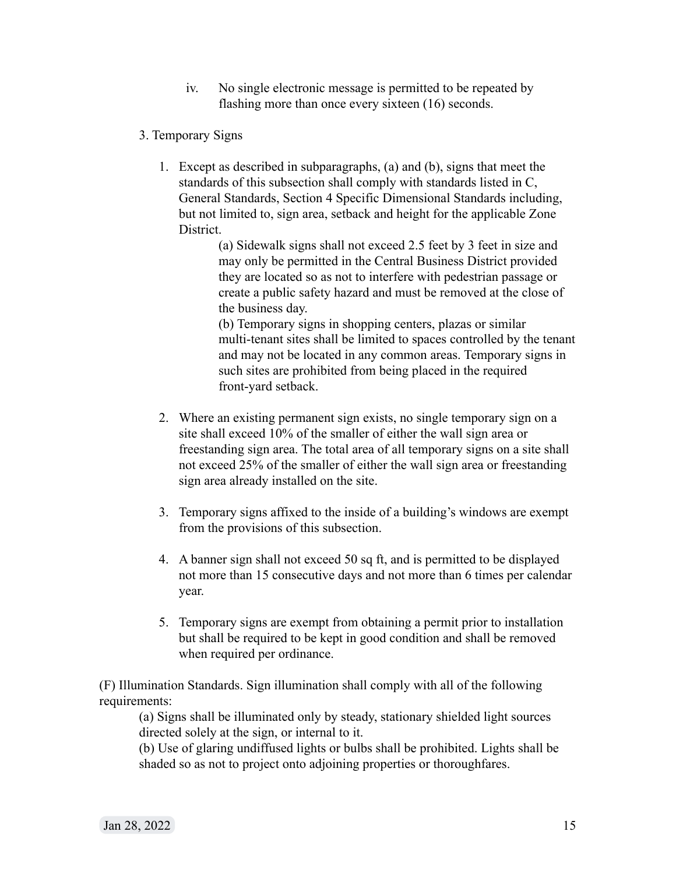- iv. No single electronic message is permitted to be repeated by flashing more than once every sixteen (16) seconds.
- 3. Temporary Signs
	- 1. Except as described in subparagraphs, (a) and (b), signs that meet the standards of this subsection shall comply with standards listed in C, General Standards, Section 4 Specific Dimensional Standards including, but not limited to, sign area, setback and height for the applicable Zone **District**

(a) Sidewalk signs shall not exceed 2.5 feet by 3 feet in size and may only be permitted in the Central Business District provided they are located so as not to interfere with pedestrian passage or create a public safety hazard and must be removed at the close of the business day.

(b) Temporary signs in shopping centers, plazas or similar multi-tenant sites shall be limited to spaces controlled by the tenant and may not be located in any common areas. Temporary signs in such sites are prohibited from being placed in the required front-yard setback.

- 2. Where an existing permanent sign exists, no single temporary sign on a site shall exceed 10% of the smaller of either the wall sign area or freestanding sign area. The total area of all temporary signs on a site shall not exceed 25% of the smaller of either the wall sign area or freestanding sign area already installed on the site.
- 3. Temporary signs affixed to the inside of a building's windows are exempt from the provisions of this subsection.
- 4. A banner sign shall not exceed 50 sq ft, and is permitted to be displayed not more than 15 consecutive days and not more than 6 times per calendar year.
- 5. Temporary signs are exempt from obtaining a permit prior to installation but shall be required to be kept in good condition and shall be removed when required per ordinance.

(F) Illumination Standards. Sign illumination shall comply with all of the following requirements:

(a) Signs shall be illuminated only by steady, stationary shielded light sources directed solely at the sign, or internal to it.

(b) Use of glaring undiffused lights or bulbs shall be prohibited. Lights shall be shaded so as not to project onto adjoining properties or thoroughfares.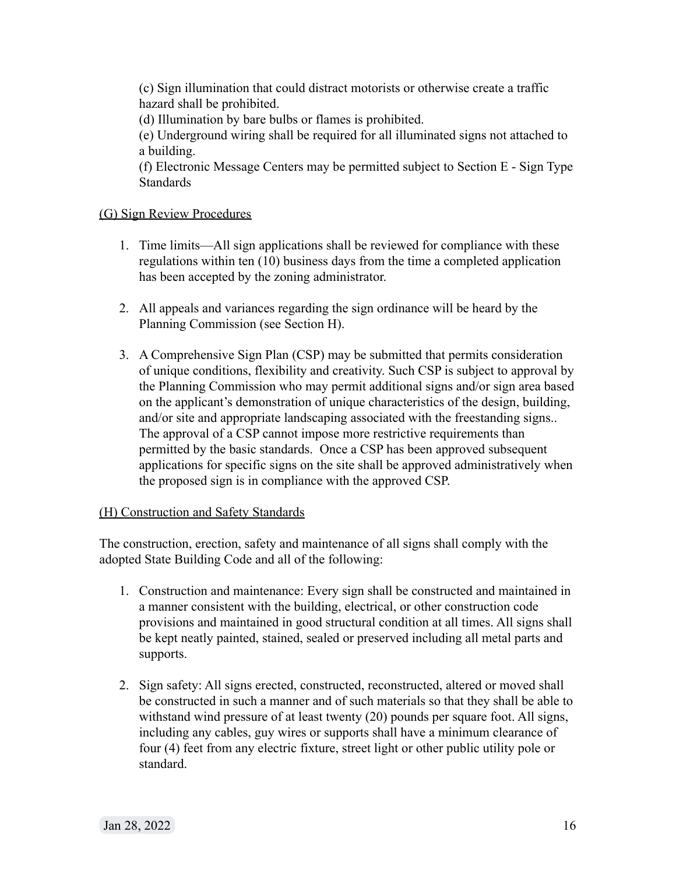(c) Sign illumination that could distract motorists or otherwise create a traffic hazard shall be prohibited.

(d) Illumination by bare bulbs or flames is prohibited.

(e) Underground wiring shall be required for all illuminated signs not attached to a building.

(f) Electronic Message Centers may be permitted subject to Section E - Sign Type **Standards** 

# (G) Sign Review Procedures

- 1. Time limits—All sign applications shall be reviewed for compliance with these regulations within ten (10) business days from the time a completed application has been accepted by the zoning administrator.
- 2. All appeals and variances regarding the sign ordinance will be heard by the Planning Commission (see Section H).
- 3. A Comprehensive Sign Plan (CSP) may be submitted that permits consideration of unique conditions, flexibility and creativity. Such CSP is subject to approval by the Planning Commission who may permit additional signs and/or sign area based on the applicant's demonstration of unique characteristics of the design, building, and/or site and appropriate landscaping associated with the freestanding signs.. The approval of a CSP cannot impose more restrictive requirements than permitted by the basic standards. Once a CSP has been approved subsequent applications for specific signs on the site shall be approved administratively when the proposed sign is in compliance with the approved CSP.

## (H) Construction and Safety Standards

The construction, erection, safety and maintenance of all signs shall comply with the adopted State Building Code and all of the following:

- 1. Construction and maintenance: Every sign shall be constructed and maintained in a manner consistent with the building, electrical, or other construction code provisions and maintained in good structural condition at all times. All signs shall be kept neatly painted, stained, sealed or preserved including all metal parts and supports.
- 2. Sign safety: All signs erected, constructed, reconstructed, altered or moved shall be constructed in such a manner and of such materials so that they shall be able to withstand wind pressure of at least twenty (20) pounds per square foot. All signs, including any cables, guy wires or supports shall have a minimum clearance of four (4) feet from any electric fixture, street light or other public utility pole or standard.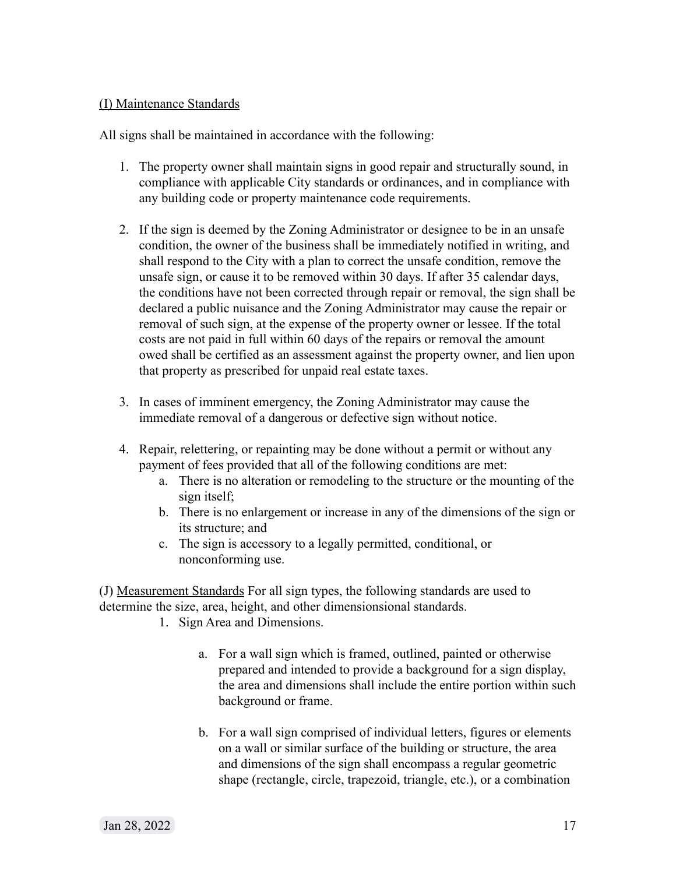# (I) Maintenance Standards

All signs shall be maintained in accordance with the following:

- 1. The property owner shall maintain signs in good repair and structurally sound, in compliance with applicable City standards or ordinances, and in compliance with any building code or property maintenance code requirements.
- 2. If the sign is deemed by the Zoning Administrator or designee to be in an unsafe condition, the owner of the business shall be immediately notified in writing, and shall respond to the City with a plan to correct the unsafe condition, remove the unsafe sign, or cause it to be removed within 30 days. If after 35 calendar days, the conditions have not been corrected through repair or removal, the sign shall be declared a public nuisance and the Zoning Administrator may cause the repair or removal of such sign, at the expense of the property owner or lessee. If the total costs are not paid in full within 60 days of the repairs or removal the amount owed shall be certified as an assessment against the property owner, and lien upon that property as prescribed for unpaid real estate taxes.
- 3. In cases of imminent emergency, the Zoning Administrator may cause the immediate removal of a dangerous or defective sign without notice.
- 4. Repair, relettering, or repainting may be done without a permit or without any payment of fees provided that all of the following conditions are met:
	- a. There is no alteration or remodeling to the structure or the mounting of the sign itself;
	- b. There is no enlargement or increase in any of the dimensions of the sign or its structure; and
	- c. The sign is accessory to a legally permitted, conditional, or nonconforming use.

(J) Measurement Standards For all sign types, the following standards are used to determine the size, area, height, and other dimensionsional standards.

- 1. Sign Area and Dimensions.
	- a. For a wall sign which is framed, outlined, painted or otherwise prepared and intended to provide a background for a sign display, the area and dimensions shall include the entire portion within such background or frame.
	- b. For a wall sign comprised of individual letters, figures or elements on a wall or similar surface of the building or structure, the area and dimensions of the sign shall encompass a regular geometric shape (rectangle, circle, trapezoid, triangle, etc.), or a combination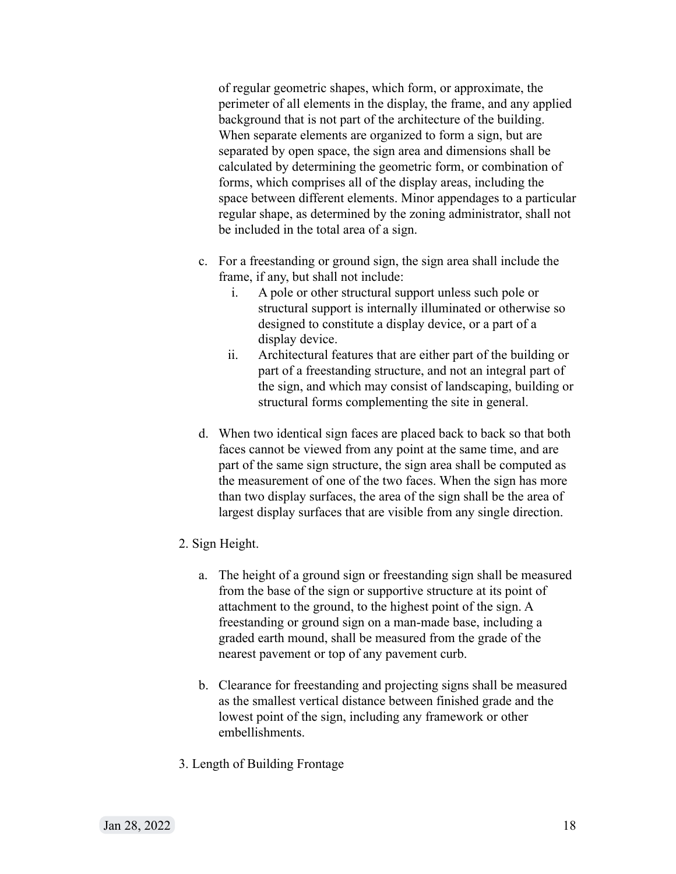of regular geometric shapes, which form, or approximate, the perimeter of all elements in the display, the frame, and any applied background that is not part of the architecture of the building. When separate elements are organized to form a sign, but are separated by open space, the sign area and dimensions shall be calculated by determining the geometric form, or combination of forms, which comprises all of the display areas, including the space between different elements. Minor appendages to a particular regular shape, as determined by the zoning administrator, shall not be included in the total area of a sign.

- c. For a freestanding or ground sign, the sign area shall include the frame, if any, but shall not include:
	- i. A pole or other structural support unless such pole or structural support is internally illuminated or otherwise so designed to constitute a display device, or a part of a display device.
	- ii. Architectural features that are either part of the building or part of a freestanding structure, and not an integral part of the sign, and which may consist of landscaping, building or structural forms complementing the site in general.
- d. When two identical sign faces are placed back to back so that both faces cannot be viewed from any point at the same time, and are part of the same sign structure, the sign area shall be computed as the measurement of one of the two faces. When the sign has more than two display surfaces, the area of the sign shall be the area of largest display surfaces that are visible from any single direction.
- 2. Sign Height.
	- a. The height of a ground sign or freestanding sign shall be measured from the base of the sign or supportive structure at its point of attachment to the ground, to the highest point of the sign. A freestanding or ground sign on a man-made base, including a graded earth mound, shall be measured from the grade of the nearest pavement or top of any pavement curb.
	- b. Clearance for freestanding and projecting signs shall be measured as the smallest vertical distance between finished grade and the lowest point of the sign, including any framework or other embellishments.
- 3. Length of Building Frontage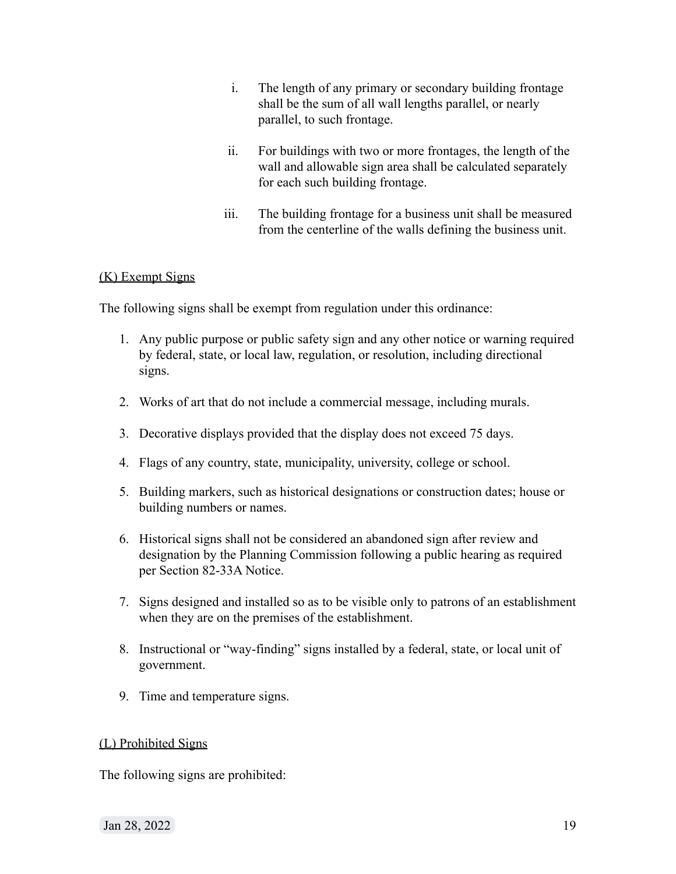- i. The length of any primary or secondary building frontage shall be the sum of all wall lengths parallel, or nearly parallel, to such frontage.
- ii. For buildings with two or more frontages, the length of the wall and allowable sign area shall be calculated separately for each such building frontage.
- iii. The building frontage for a business unit shall be measured from the centerline of the walls defining the business unit.

# (K) Exempt Signs

The following signs shall be exempt from regulation under this ordinance:

- 1. Any public purpose or public safety sign and any other notice or warning required by federal, state, or local law, regulation, or resolution, including directional signs.
- 2. Works of art that do not include a commercial message, including murals.
- 3. Decorative displays provided that the display does not exceed 75 days.
- 4. Flags of any country, state, municipality, university, college or school.
- 5. Building markers, such as historical designations or construction dates; house or building numbers or names.
- 6. Historical signs shall not be considered an abandoned sign after review and designation by the Planning Commission following a public hearing as required per Section 82-33A Notice.
- 7. Signs designed and installed so as to be visible only to patrons of an establishment when they are on the premises of the establishment.
- 8. Instructional or "way-finding" signs installed by a federal, state, or local unit of government.
- 9. Time and temperature signs.

## (L) Prohibited Signs

The following signs are prohibited:

Jan 28, 2022 19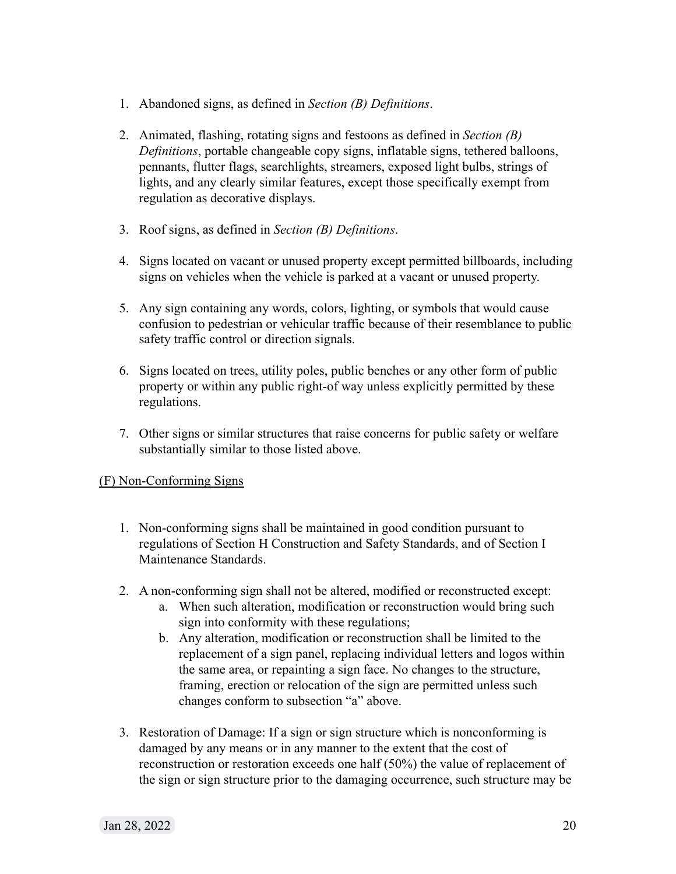- 1. Abandoned signs, as defined in *Section (B) Definitions*.
- 2. Animated, flashing, rotating signs and festoons as defined in *Section (B) Definitions*, portable changeable copy signs, inflatable signs, tethered balloons, pennants, flutter flags, searchlights, streamers, exposed light bulbs, strings of lights, and any clearly similar features, except those specifically exempt from regulation as decorative displays.
- 3. Roof signs, as defined in *Section (B) Definitions*.
- 4. Signs located on vacant or unused property except permitted billboards, including signs on vehicles when the vehicle is parked at a vacant or unused property.
- 5. Any sign containing any words, colors, lighting, or symbols that would cause confusion to pedestrian or vehicular traffic because of their resemblance to public safety traffic control or direction signals.
- 6. Signs located on trees, utility poles, public benches or any other form of public property or within any public right-of way unless explicitly permitted by these regulations.
- 7. Other signs or similar structures that raise concerns for public safety or welfare substantially similar to those listed above.

## (F) Non-Conforming Signs

- 1. Non-conforming signs shall be maintained in good condition pursuant to regulations of Section H Construction and Safety Standards, and of Section I Maintenance Standards.
- 2. A non-conforming sign shall not be altered, modified or reconstructed except:
	- a. When such alteration, modification or reconstruction would bring such sign into conformity with these regulations;
	- b. Any alteration, modification or reconstruction shall be limited to the replacement of a sign panel, replacing individual letters and logos within the same area, or repainting a sign face. No changes to the structure, framing, erection or relocation of the sign are permitted unless such changes conform to subsection "a" above.
- 3. Restoration of Damage: If a sign or sign structure which is nonconforming is damaged by any means or in any manner to the extent that the cost of reconstruction or restoration exceeds one half (50%) the value of replacement of the sign or sign structure prior to the damaging occurrence, such structure may be